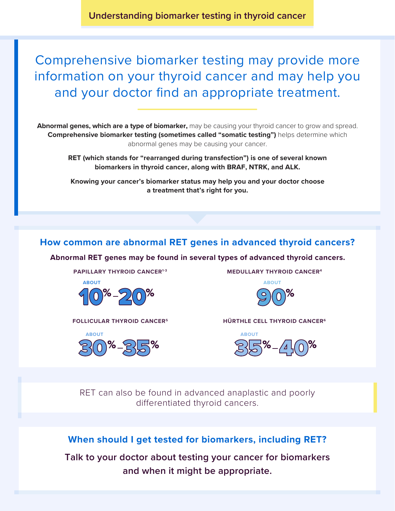**Understanding biomarker testing in thyroid cancer**

Comprehensive biomarker testing may provide more information on your thyroid cancer and may help you and your doctor find an appropriate treatment.

**Abnormal genes, which are a type of biomarker,** may be causing your thyroid cancer to grow and spread. **Comprehensive biomarker testing (sometimes called "somatic testing")** helps determine which abnormal genes may be causing your cancer.

**RET (which stands for "rearranged during transfection") is one of several known biomarkers in thyroid cancer, along with BRAF, NTRK, and ALK.**

**Knowing your cancer's biomarker status may help you and your doctor choose a treatment that's right for you.**

## **How common are abnormal RET genes in advanced thyroid cancers?**

**Abnormal RET genes may be found in several types of advanced thyroid cancers.**

**PAPILLARY THYROID CANCER<sup>1-3</sup>** 



**MEDULLARY THYROID CANCER4**





**HÜRTHLE CELL THYROID CANCER6 FOLLICULAR THYROID CANCER5**



RET can also be found in advanced anaplastic and poorly differentiated thyroid cancers.

### **When should I get tested for biomarkers, including RET?**

**Talk to your doctor about testing your cancer for biomarkers and when it might be appropriate.**